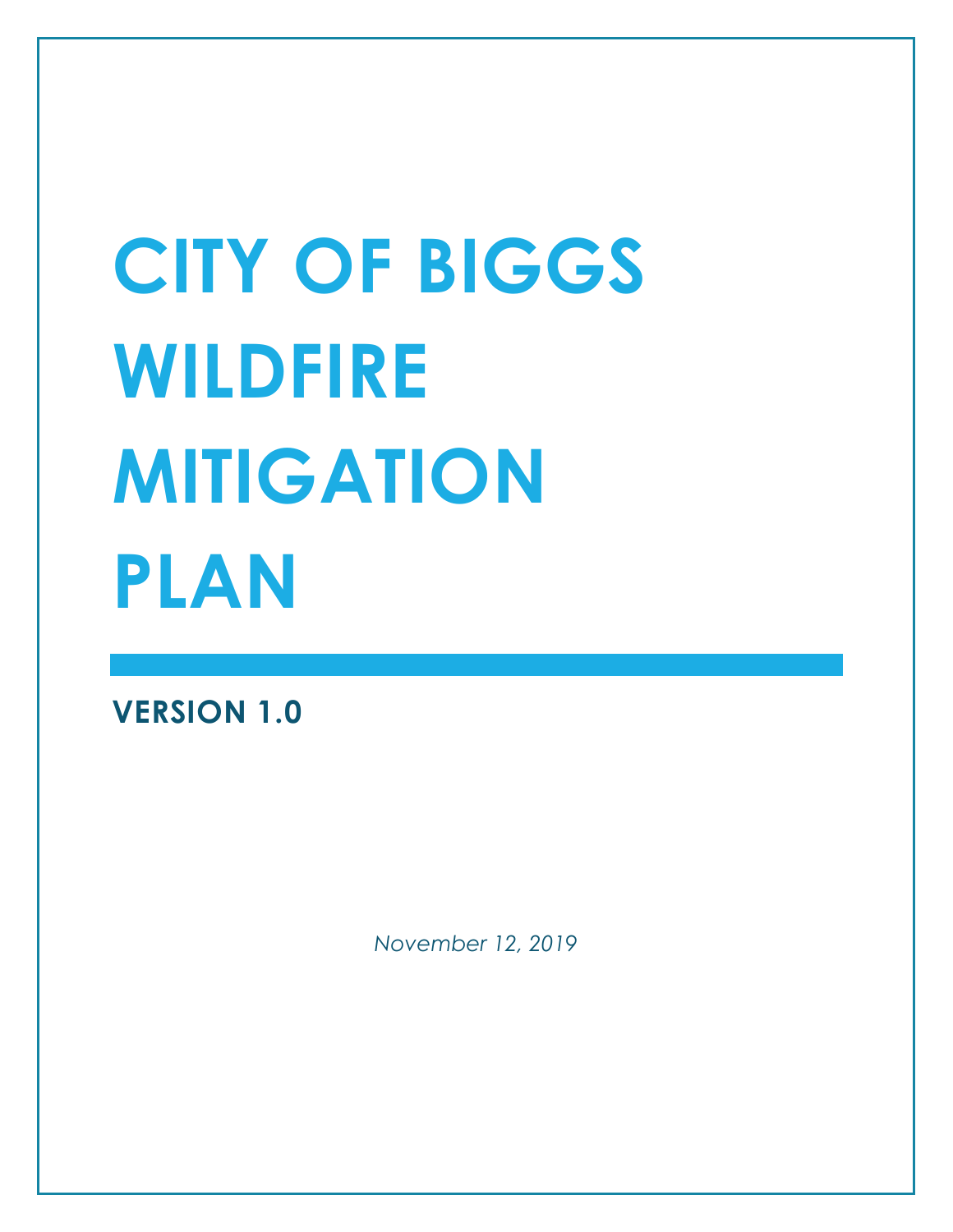# **CITY OF BIGGS WILDFIRE MITIGATION PLAN**

**VERSION 1.0**

*November 12, 2019*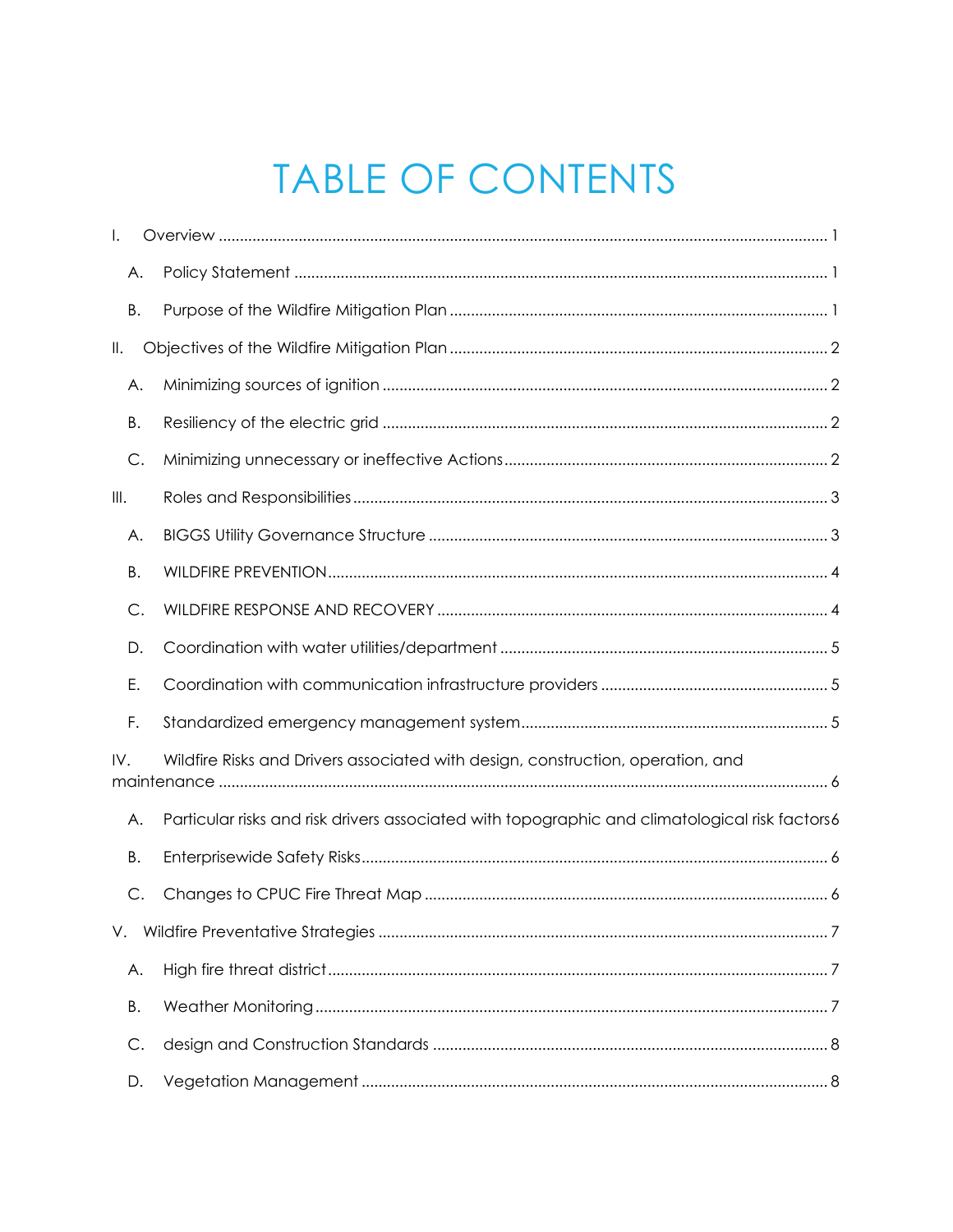# TABLE OF CONTENTS

| I.        |                                                                                                |  |  |  |  |
|-----------|------------------------------------------------------------------------------------------------|--|--|--|--|
| Α.        |                                                                                                |  |  |  |  |
| Β.        |                                                                                                |  |  |  |  |
| II.       |                                                                                                |  |  |  |  |
| Α.        |                                                                                                |  |  |  |  |
| Β.        |                                                                                                |  |  |  |  |
| C.        |                                                                                                |  |  |  |  |
| III.      |                                                                                                |  |  |  |  |
| А.        |                                                                                                |  |  |  |  |
| Β.        |                                                                                                |  |  |  |  |
| С.        |                                                                                                |  |  |  |  |
| D.        |                                                                                                |  |  |  |  |
| Ε.        |                                                                                                |  |  |  |  |
| F.        |                                                                                                |  |  |  |  |
| IV.       | Wildfire Risks and Drivers associated with design, construction, operation, and                |  |  |  |  |
| А.        | Particular risks and risk drivers associated with topographic and climatological risk factors6 |  |  |  |  |
| Β.        |                                                                                                |  |  |  |  |
| C.        |                                                                                                |  |  |  |  |
| V.        |                                                                                                |  |  |  |  |
| Α.        |                                                                                                |  |  |  |  |
| <b>B.</b> |                                                                                                |  |  |  |  |
| C.        |                                                                                                |  |  |  |  |
| D.        |                                                                                                |  |  |  |  |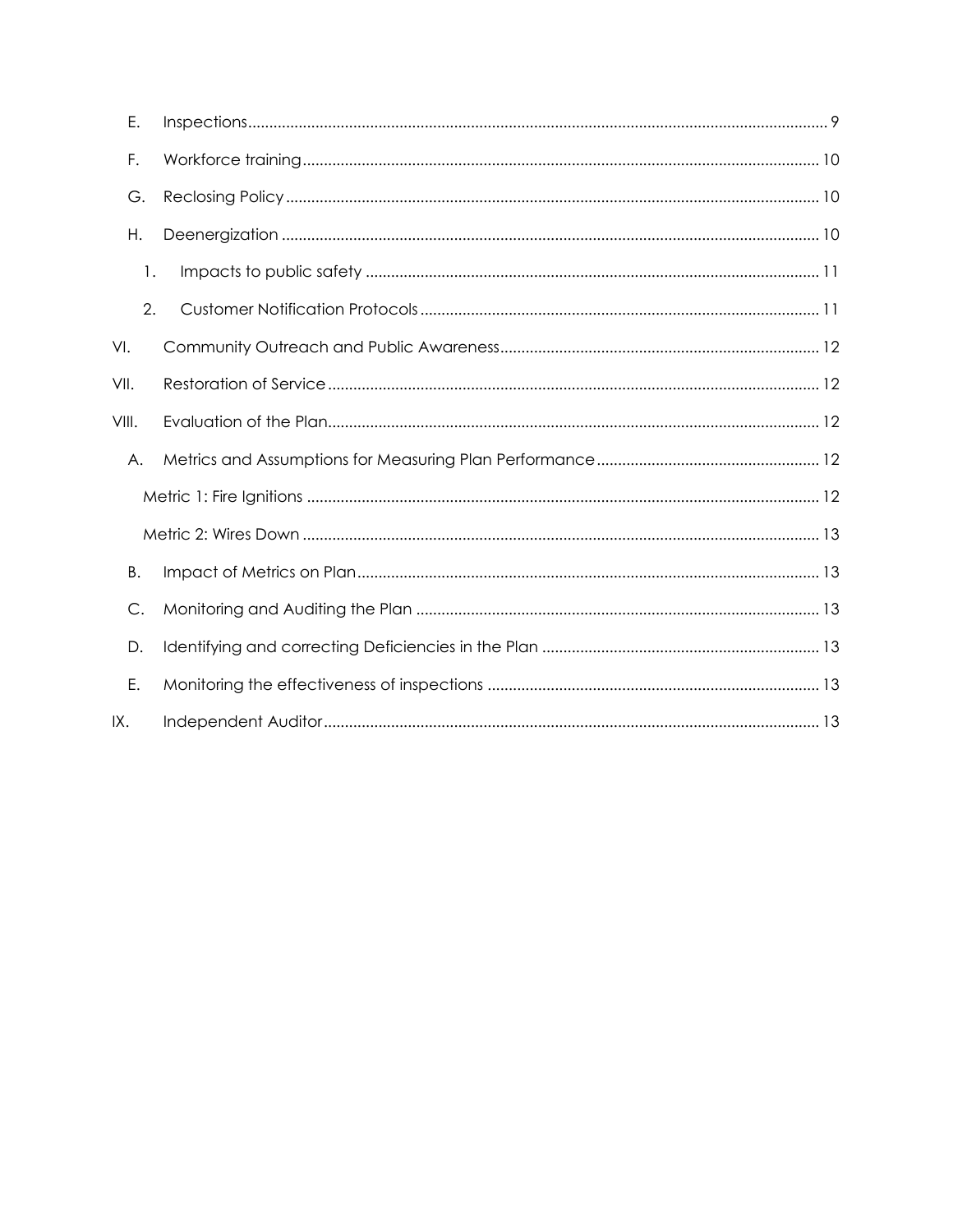| Ε.    |  |
|-------|--|
| F.    |  |
| G.    |  |
| Η.    |  |
| 1.    |  |
| 2.    |  |
| VI.   |  |
| VII.  |  |
| VIII. |  |
| А.    |  |
|       |  |
|       |  |
| Β.    |  |
| C.    |  |
| D.    |  |
| Е.    |  |
| IX.   |  |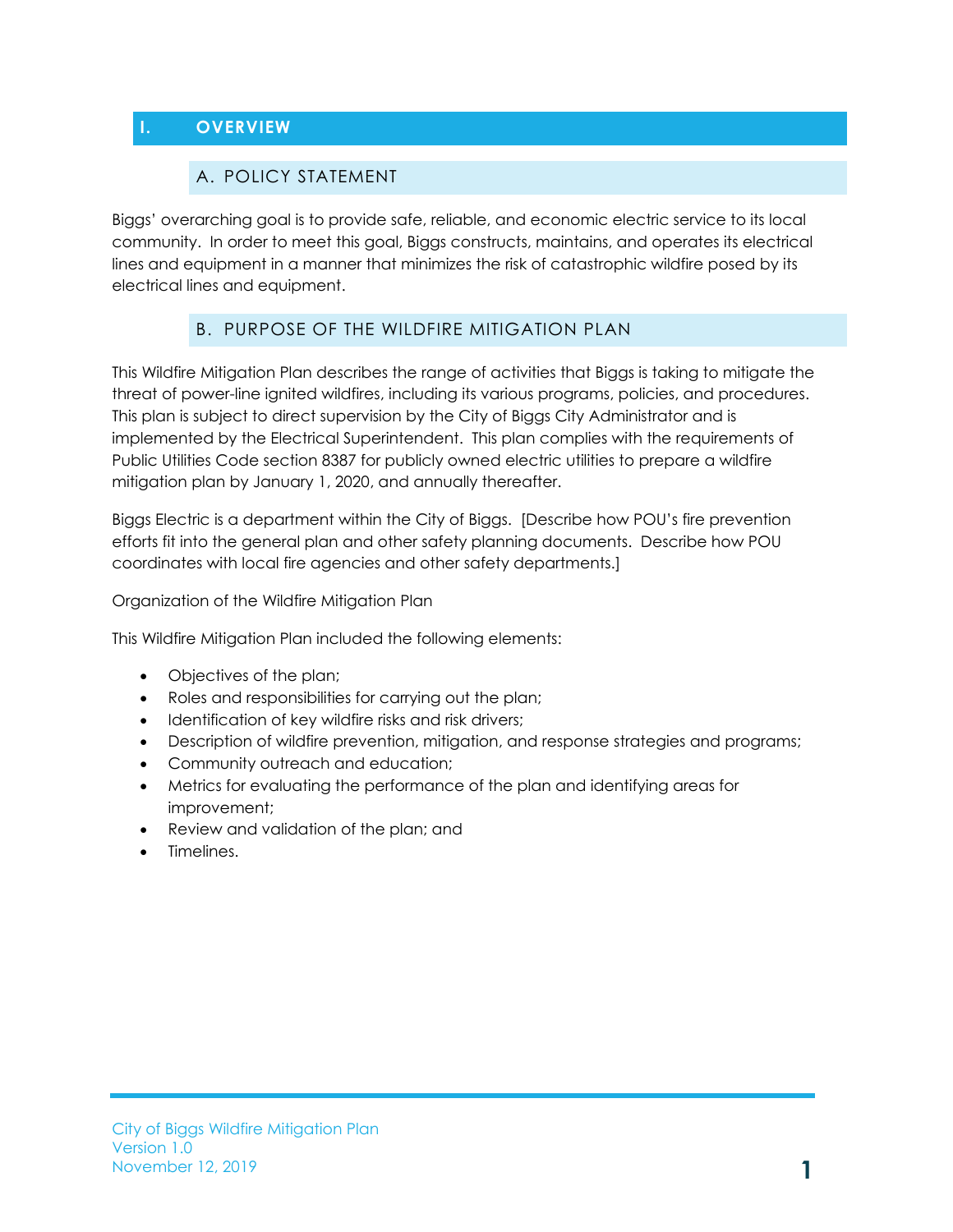# <span id="page-3-1"></span><span id="page-3-0"></span>**I. OVERVIEW**

#### A. POLICY STATEMENT

Biggs' overarching goal is to provide safe, reliable, and economic electric service to its local community. In order to meet this goal, Biggs constructs, maintains, and operates its electrical lines and equipment in a manner that minimizes the risk of catastrophic wildfire posed by its electrical lines and equipment.

## B. PURPOSE OF THE WILDFIRE MITIGATION PLAN

<span id="page-3-2"></span>This Wildfire Mitigation Plan describes the range of activities that Biggs is taking to mitigate the threat of power-line ignited wildfires, including its various programs, policies, and procedures. This plan is subject to direct supervision by the City of Biggs City Administrator and is implemented by the Electrical Superintendent. This plan complies with the requirements of Public Utilities Code section 8387 for publicly owned electric utilities to prepare a wildfire mitigation plan by January 1, 2020, and annually thereafter.

Biggs Electric is a department within the City of Biggs. [Describe how POU's fire prevention efforts fit into the general plan and other safety planning documents. Describe how POU coordinates with local fire agencies and other safety departments.]

Organization of the Wildfire Mitigation Plan

This Wildfire Mitigation Plan included the following elements:

- Objectives of the plan;
- Roles and responsibilities for carrying out the plan;
- Identification of key wildfire risks and risk drivers;
- Description of wildfire prevention, mitigation, and response strategies and programs;
- Community outreach and education;
- Metrics for evaluating the performance of the plan and identifying areas for improvement;
- Review and validation of the plan; and
- Timelines.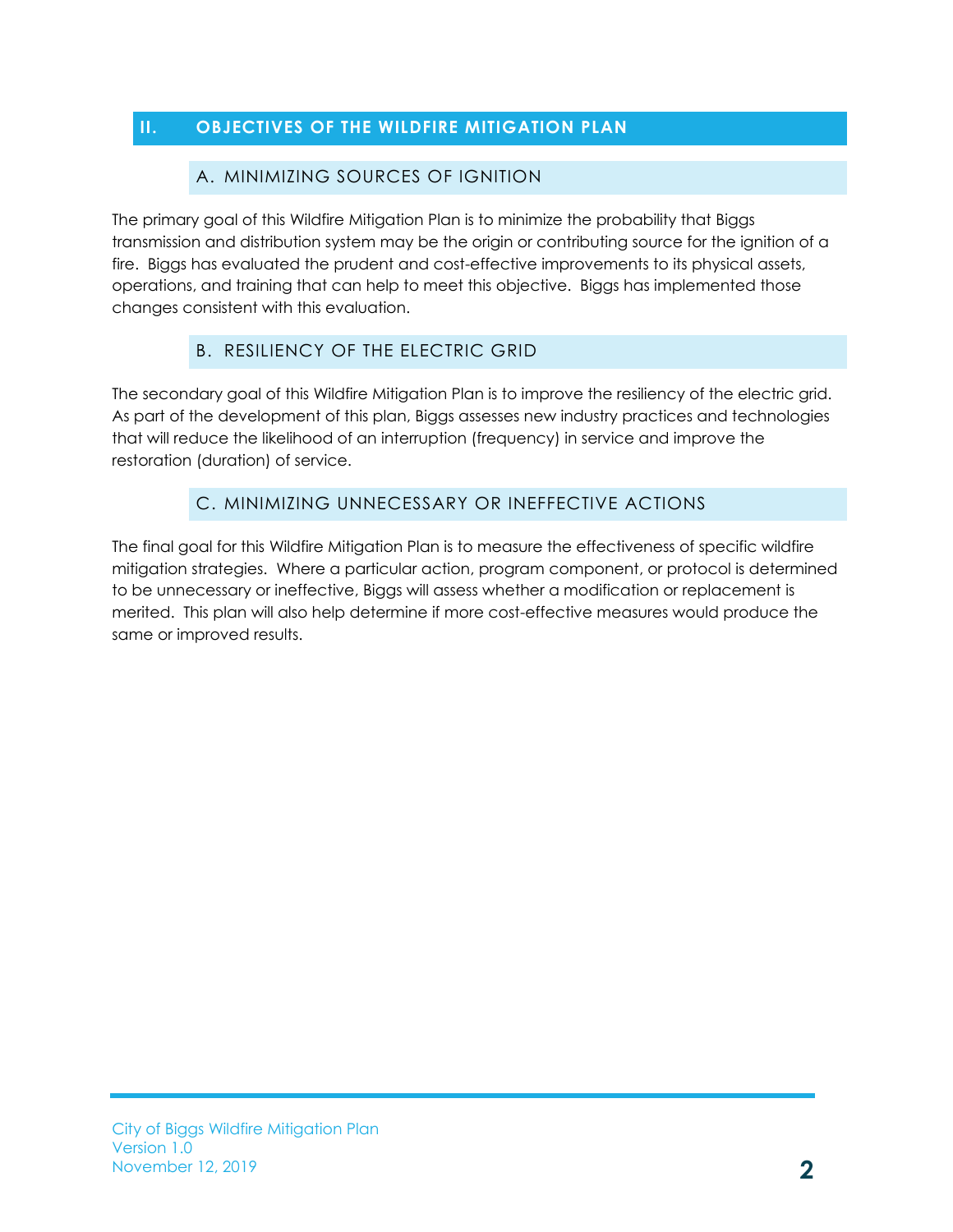# <span id="page-4-1"></span><span id="page-4-0"></span>**II. OBJECTIVES OF THE WILDFIRE MITIGATION PLAN**

#### A. MINIMIZING SOURCES OF IGNITION

The primary goal of this Wildfire Mitigation Plan is to minimize the probability that Biggs transmission and distribution system may be the origin or contributing source for the ignition of a fire. Biggs has evaluated the prudent and cost-effective improvements to its physical assets, operations, and training that can help to meet this objective. Biggs has implemented those changes consistent with this evaluation.

## B. RESILIENCY OF THE ELECTRIC GRID

<span id="page-4-2"></span>The secondary goal of this Wildfire Mitigation Plan is to improve the resiliency of the electric grid. As part of the development of this plan, Biggs assesses new industry practices and technologies that will reduce the likelihood of an interruption (frequency) in service and improve the restoration (duration) of service.

## C. MINIMIZING UNNECESSARY OR INEFFECTIVE ACTIONS

<span id="page-4-3"></span>The final goal for this Wildfire Mitigation Plan is to measure the effectiveness of specific wildfire mitigation strategies. Where a particular action, program component, or protocol is determined to be unnecessary or ineffective, Biggs will assess whether a modification or replacement is merited. This plan will also help determine if more cost-effective measures would produce the same or improved results.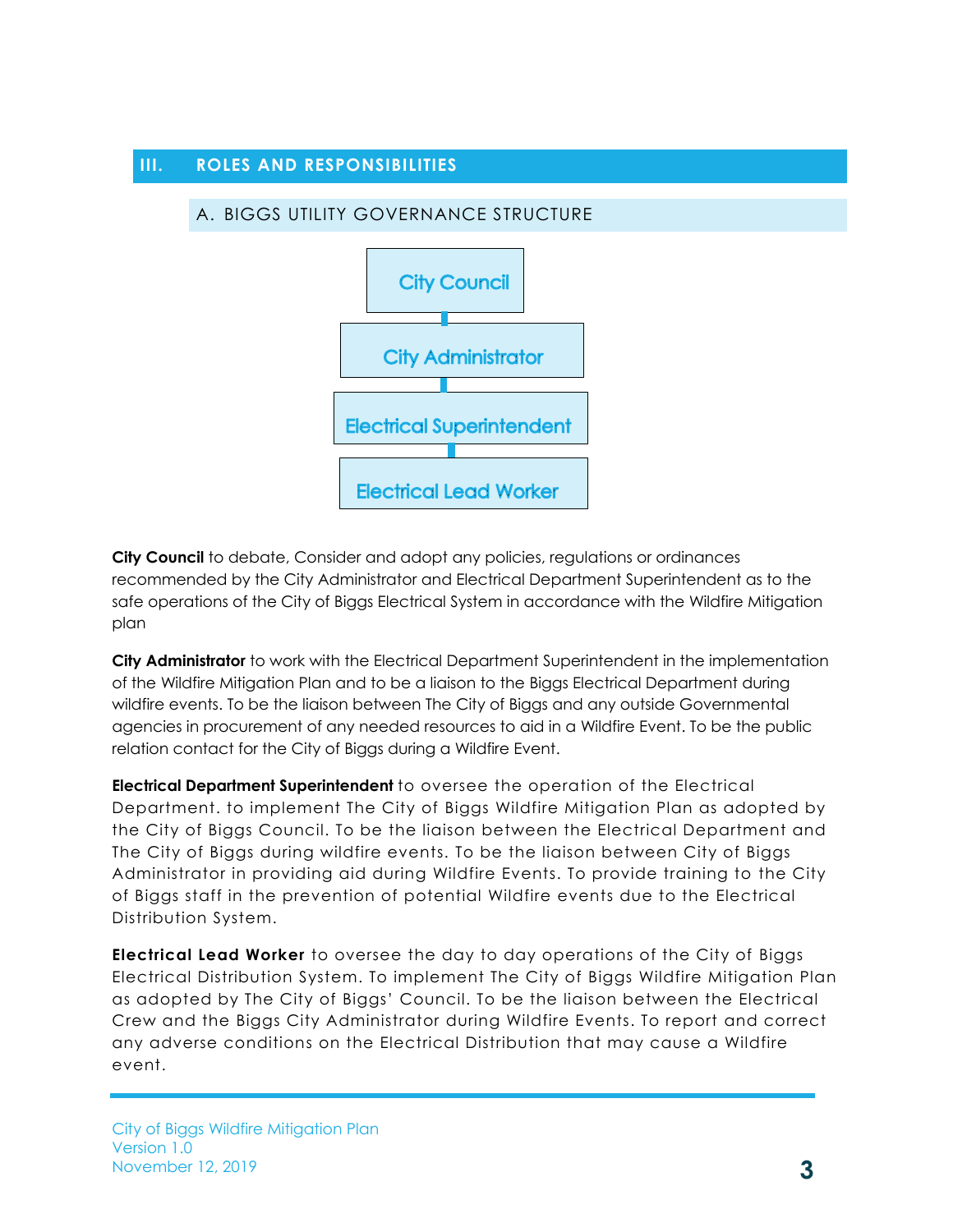#### <span id="page-5-1"></span><span id="page-5-0"></span>**III. ROLES AND RESPONSIBILITIES**

#### A. BIGGS UTILITY GOVERNANCE STRUCTURE



**City Council** to debate, Consider and adopt any policies, regulations or ordinances recommended by the City Administrator and Electrical Department Superintendent as to the safe operations of the City of Biggs Electrical System in accordance with the Wildfire Mitigation plan

**City Administrator** to work with the Electrical Department Superintendent in the implementation of the Wildfire Mitigation Plan and to be a liaison to the Biggs Electrical Department during wildfire events. To be the liaison between The City of Biggs and any outside Governmental agencies in procurement of any needed resources to aid in a Wildfire Event. To be the public relation contact for the City of Biggs during a Wildfire Event.

**Electrical Department Superintendent** to oversee the operation of the Electrical Department. to implement The City of Biggs Wildfire Mitigation Plan as adopted by the City of Biggs Council. To be the liaison between the Electrical Department and The City of Biggs during wildfire events. To be the liaison between City of Biggs Administrator in providing aid during Wildfire Events. To provide training to the City of Biggs staff in the prevention of potential Wildfire events due to the Electrical Distribution System.

**Electrical Lead Worker** to oversee the day to day operations of the City of Biggs Electrical Distribution System. To implement The City of Biggs Wildfire Mitigation Plan as adopted by The City of Biggs' Council. To be the liaison between the Electrical Crew and the Biggs City Administrator during Wildfire Events. To report and correct any adverse conditions on the Electrical Distribution that may cause a Wildfire event.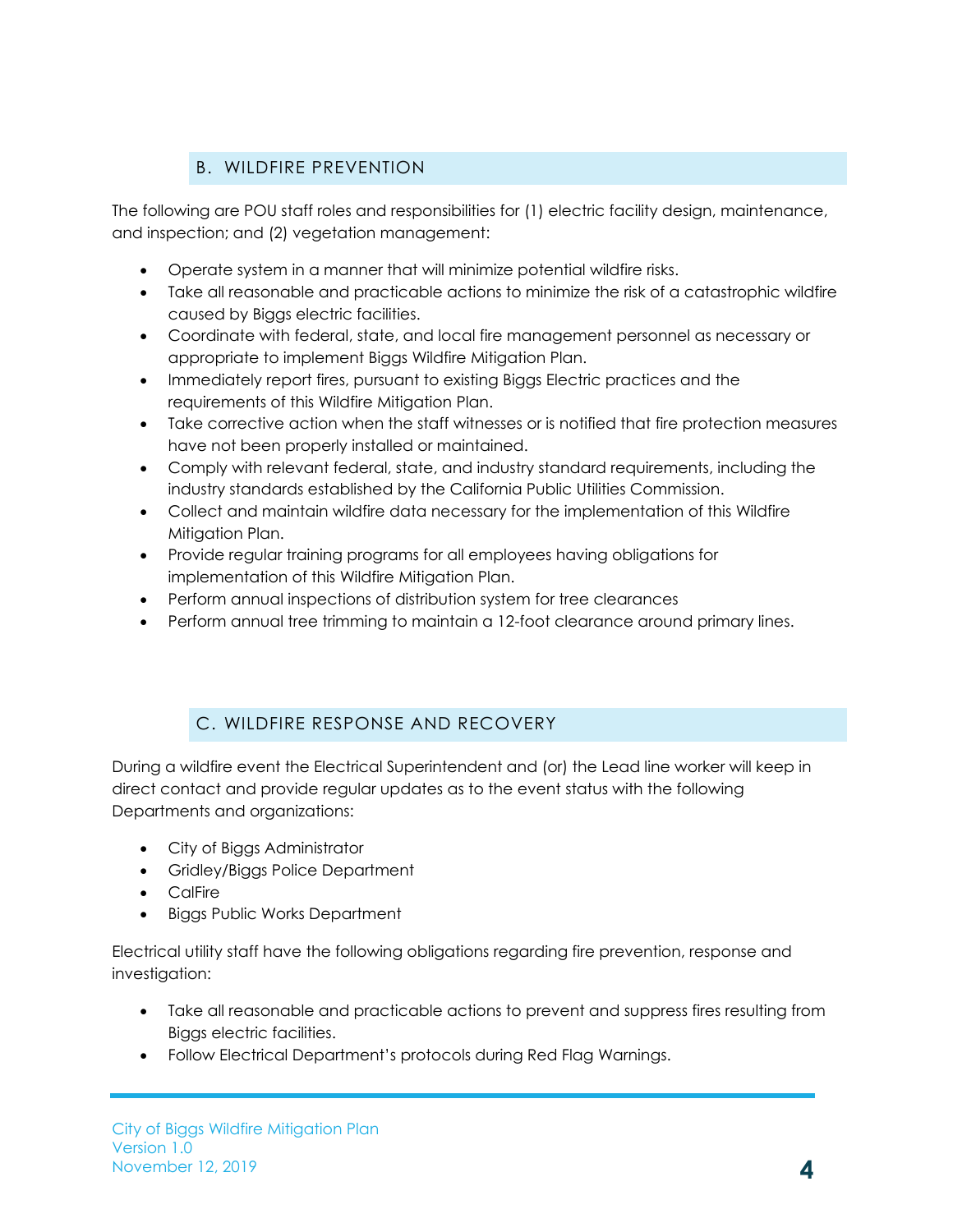# B. WILDFIRE PREVENTION

<span id="page-6-0"></span>The following are POU staff roles and responsibilities for (1) electric facility design, maintenance, and inspection; and (2) vegetation management:

- Operate system in a manner that will minimize potential wildfire risks.
- Take all reasonable and practicable actions to minimize the risk of a catastrophic wildfire caused by Biggs electric facilities.
- Coordinate with federal, state, and local fire management personnel as necessary or appropriate to implement Biggs Wildfire Mitigation Plan.
- Immediately report fires, pursuant to existing Biggs Electric practices and the requirements of this Wildfire Mitigation Plan.
- Take corrective action when the staff witnesses or is notified that fire protection measures have not been properly installed or maintained.
- Comply with relevant federal, state, and industry standard requirements, including the industry standards established by the California Public Utilities Commission.
- Collect and maintain wildfire data necessary for the implementation of this Wildfire Mitigation Plan.
- Provide regular training programs for all employees having obligations for implementation of this Wildfire Mitigation Plan.
- Perform annual inspections of distribution system for tree clearances
- Perform annual tree trimming to maintain a 12-foot clearance around primary lines.

# C. WILDFIRE RESPONSE AND RECOVERY

<span id="page-6-1"></span>During a wildfire event the Electrical Superintendent and (or) the Lead line worker will keep in direct contact and provide regular updates as to the event status with the following Departments and organizations:

- City of Biggs Administrator
- Gridley/Biggs Police Department
- CalFire
- Biggs Public Works Department

Electrical utility staff have the following obligations regarding fire prevention, response and investigation:

- Take all reasonable and practicable actions to prevent and suppress fires resulting from Biggs electric facilities.
- Follow Electrical Department's protocols during Red Flag Warnings.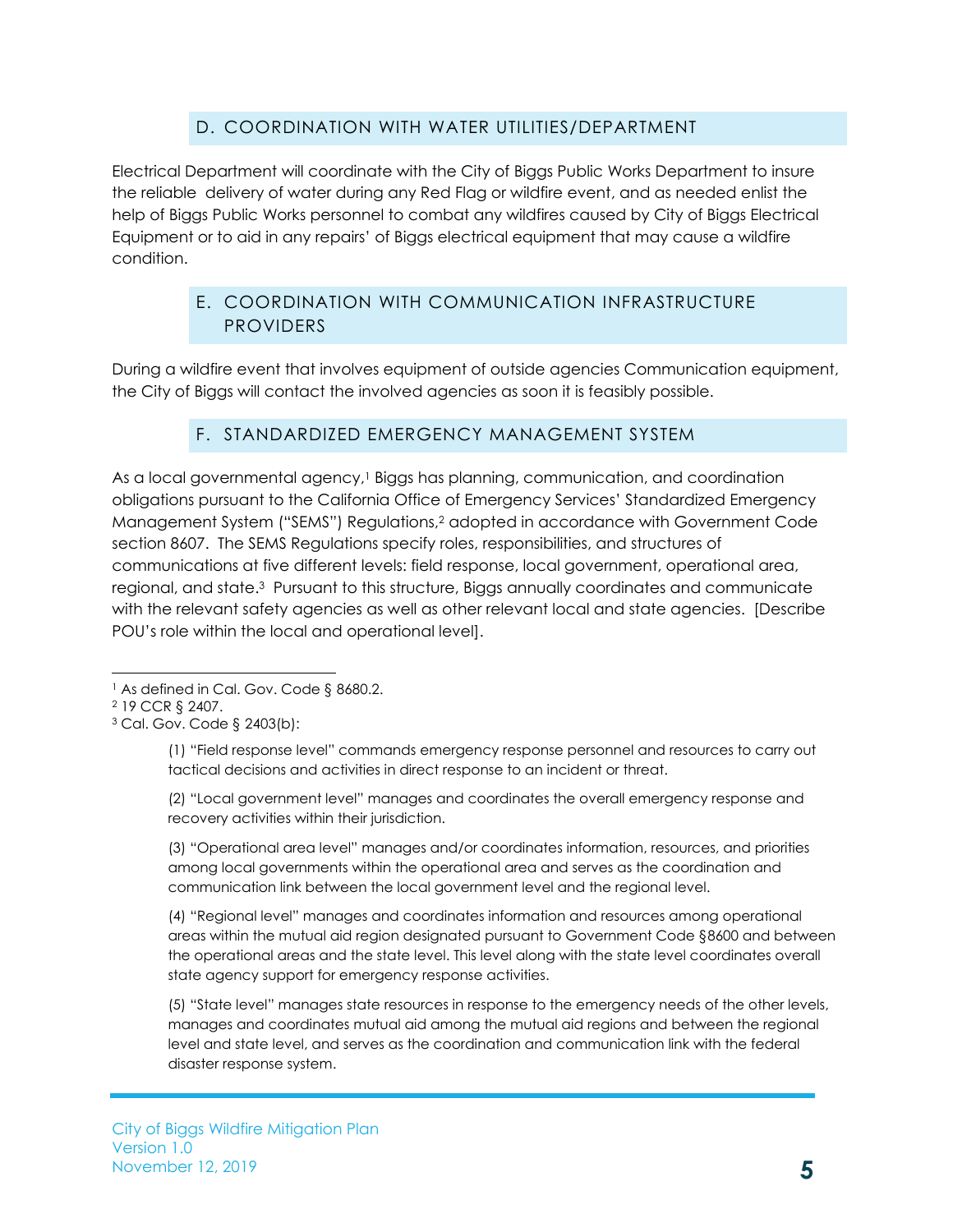# D. COORDINATION WITH WATER UTILITIES/DEPARTMENT

<span id="page-7-0"></span>Electrical Department will coordinate with the City of Biggs Public Works Department to insure the reliable delivery of water during any Red Flag or wildfire event, and as needed enlist the help of Biggs Public Works personnel to combat any wildfires caused by City of Biggs Electrical Equipment or to aid in any repairs' of Biggs electrical equipment that may cause a wildfire condition.

## E. COORDINATION WITH COMMUNICATION INFRASTRUCTURE **PROVIDERS**

<span id="page-7-1"></span>During a wildfire event that involves equipment of outside agencies Communication equipment, the City of Biggs will contact the involved agencies as soon it is feasibly possible.

## F. STANDARDIZED EMERGENCY MANAGEMENT SYSTEM

<span id="page-7-2"></span>As a local governmental agency, <sup>1</sup> Biggs has planning, communication, and coordination obligations pursuant to the California Office of Emergency Services' Standardized Emergency Management System ("SEMS") Regulations,<sup>2</sup> adopted in accordance with Government Code section 8607. The SEMS Regulations specify roles, responsibilities, and structures of communications at five different levels: field response, local government, operational area, regional, and state.3 Pursuant to this structure, Biggs annually coordinates and communicate with the relevant safety agencies as well as other relevant local and state agencies. [Describe POU's role within the local and operational level].

(1) "Field response level" commands emergency response personnel and resources to carry out tactical decisions and activities in direct response to an incident or threat.

(2) "Local government level" manages and coordinates the overall emergency response and recovery activities within their jurisdiction.

(3) "Operational area level" manages and/or coordinates information, resources, and priorities among local governments within the operational area and serves as the coordination and communication link between the local government level and the regional level.

(4) "Regional level" manages and coordinates information and resources among operational areas within the mutual aid region designated pursuant to Government Code §8600 and between the operational areas and the state level. This level along with the state level coordinates overall state agency support for emergency response activities.

(5) "State level" manages state resources in response to the emergency needs of the other levels, manages and coordinates mutual aid among the mutual aid regions and between the regional level and state level, and serves as the coordination and communication link with the federal disaster response system.

l <sup>1</sup> As defined in Cal. Gov. Code § 8680.2.

<sup>2</sup> 19 CCR § 2407.

<sup>3</sup> Cal. Gov. Code § 2403(b):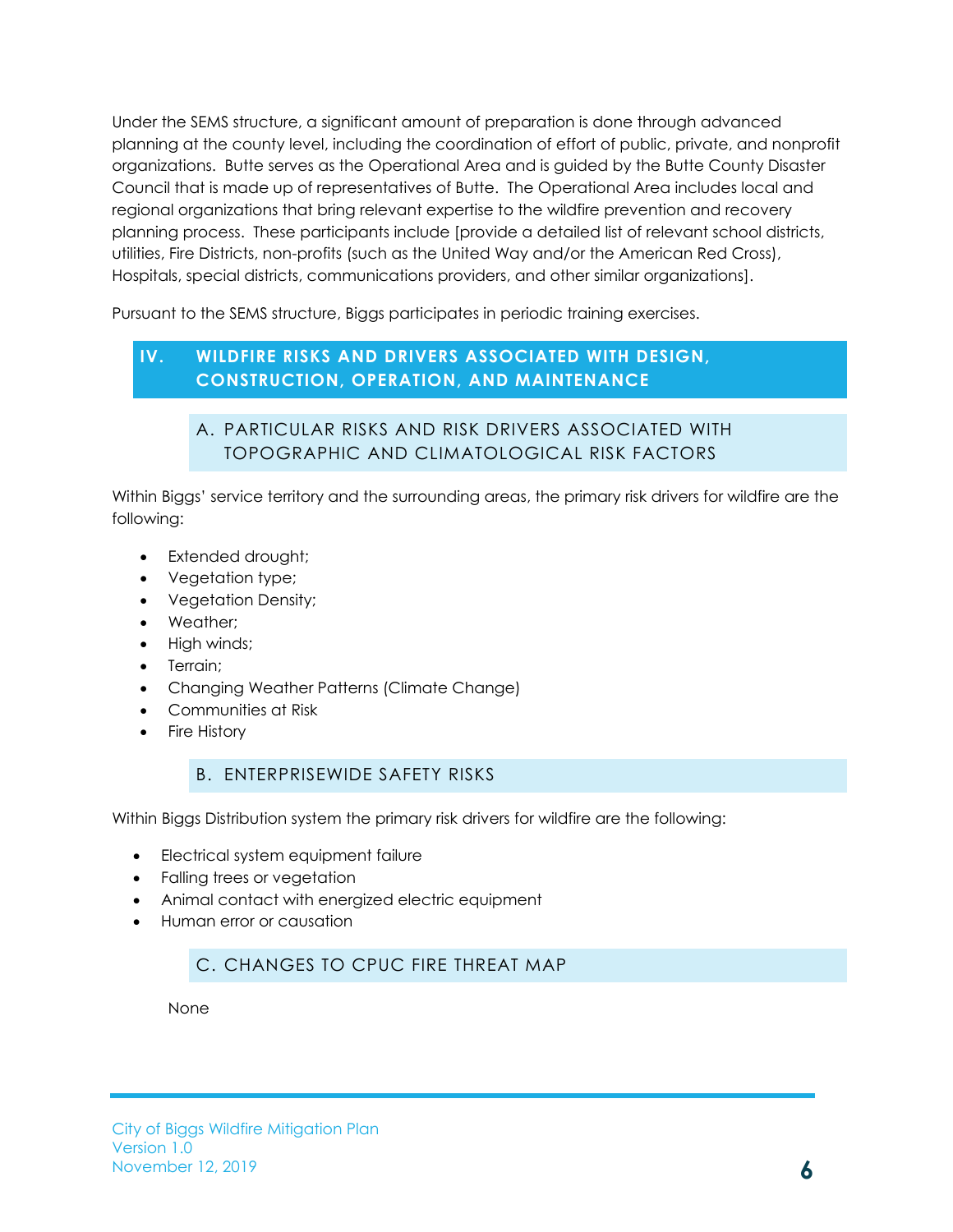Under the SEMS structure, a significant amount of preparation is done through advanced planning at the county level, including the coordination of effort of public, private, and nonprofit organizations. Butte serves as the Operational Area and is guided by the Butte County Disaster Council that is made up of representatives of Butte. The Operational Area includes local and regional organizations that bring relevant expertise to the wildfire prevention and recovery planning process. These participants include [provide a detailed list of relevant school districts, utilities, Fire Districts, non-profits (such as the United Way and/or the American Red Cross), Hospitals, special districts, communications providers, and other similar organizations].

Pursuant to the SEMS structure, Biggs participates in periodic training exercises.

## <span id="page-8-1"></span><span id="page-8-0"></span>**IV. WILDFIRE RISKS AND DRIVERS ASSOCIATED WITH DESIGN, CONSTRUCTION, OPERATION, AND MAINTENANCE**

# A. PARTICULAR RISKS AND RISK DRIVERS ASSOCIATED WITH TOPOGRAPHIC AND CLIMATOLOGICAL RISK FACTORS

Within Biggs' service territory and the surrounding areas, the primary risk drivers for wildfire are the following:

- Extended drought;
- Vegetation type;
- Vegetation Density;
- Weather;
- High winds:
- Terrain;
- Changing Weather Patterns (Climate Change)
- Communities at Risk
- Fire History

#### B. ENTERPRISEWIDE SAFETY RISKS

<span id="page-8-2"></span>Within Biggs Distribution system the primary risk drivers for wildfire are the following:

- Electrical system equipment failure
- Falling trees or vegetation
- Animal contact with energized electric equipment
- <span id="page-8-3"></span>• Human error or causation

## C. CHANGES TO CPUC FIRE THREAT MAP

None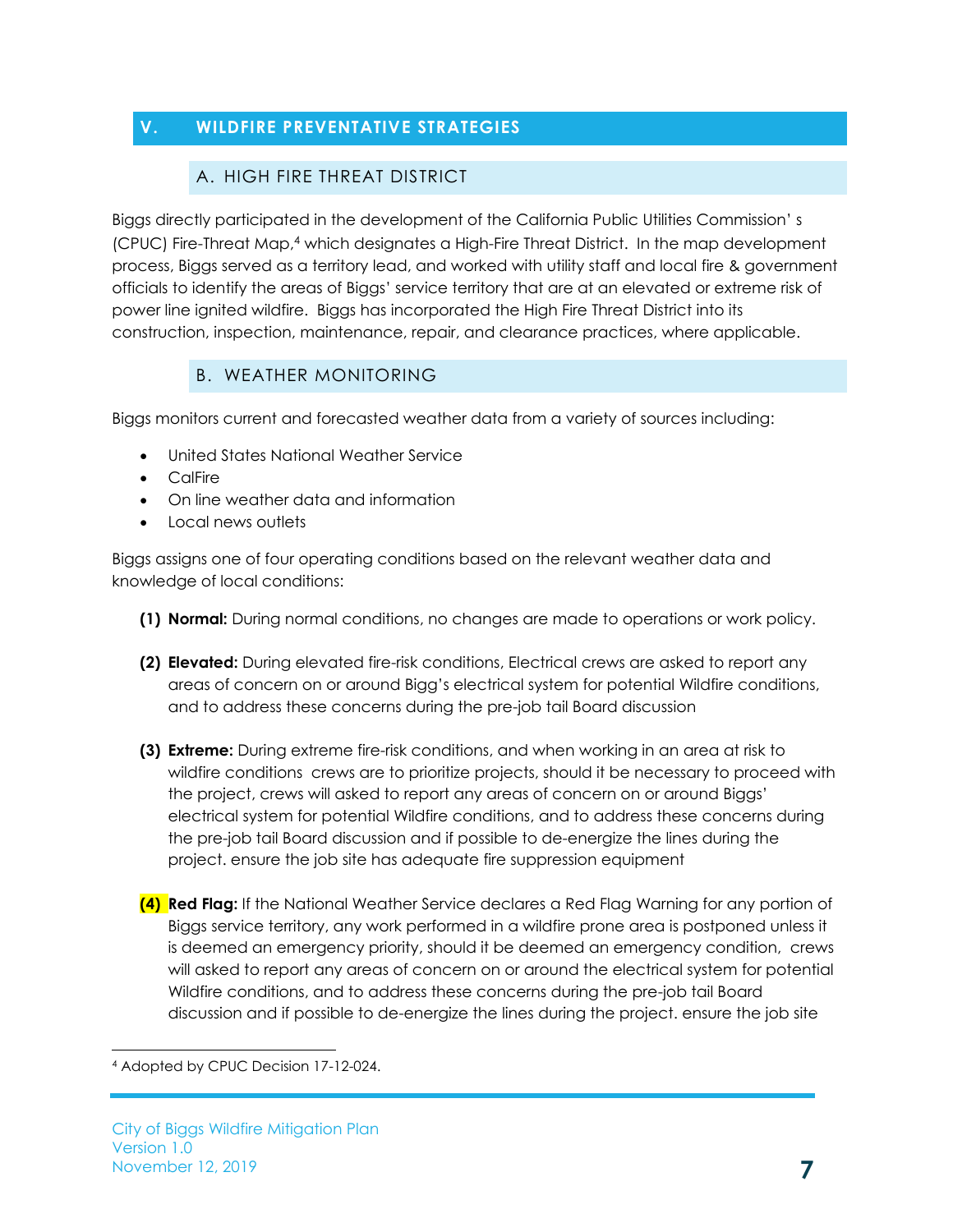# <span id="page-9-1"></span><span id="page-9-0"></span>**V. WILDFIRE PREVENTATIVE STRATEGIES**

#### A. HIGH FIRE THREAT DISTRICT

Biggs directly participated in the development of the California Public Utilities Commission' s (CPUC) Fire-Threat Map,<sup>4</sup> which designates a High-Fire Threat District. In the map development process, Biggs served as a territory lead, and worked with utility staff and local fire & government officials to identify the areas of Biggs' service territory that are at an elevated or extreme risk of power line ignited wildfire. Biggs has incorporated the High Fire Threat District into its construction, inspection, maintenance, repair, and clearance practices, where applicable.

## B. WEATHER MONITORING

<span id="page-9-2"></span>Biggs monitors current and forecasted weather data from a variety of sources including:

- United States National Weather Service
- CalFire
- On line weather data and information
- Local news outlets

Biggs assigns one of four operating conditions based on the relevant weather data and knowledge of local conditions:

- **(1) Normal:** During normal conditions, no changes are made to operations or work policy.
- **(2) Elevated:** During elevated fire-risk conditions, Electrical crews are asked to report any areas of concern on or around Bigg's electrical system for potential Wildfire conditions, and to address these concerns during the pre-job tail Board discussion
- **(3) Extreme:** During extreme fire-risk conditions, and when working in an area at risk to wildfire conditions crews are to prioritize projects, should it be necessary to proceed with the project, crews will asked to report any areas of concern on or around Biggs' electrical system for potential Wildfire conditions, and to address these concerns during the pre-job tail Board discussion and if possible to de-energize the lines during the project. ensure the job site has adequate fire suppression equipment
- **(4) Red Flag:** If the National Weather Service declares a Red Flag Warning for any portion of Biggs service territory, any work performed in a wildfire prone area is postponed unless it is deemed an emergency priority, should it be deemed an emergency condition, crews will asked to report any areas of concern on or around the electrical system for potential Wildfire conditions, and to address these concerns during the pre-job tail Board discussion and if possible to de-energize the lines during the project. ensure the job site

l

<sup>4</sup> Adopted by CPUC Decision 17-12-024.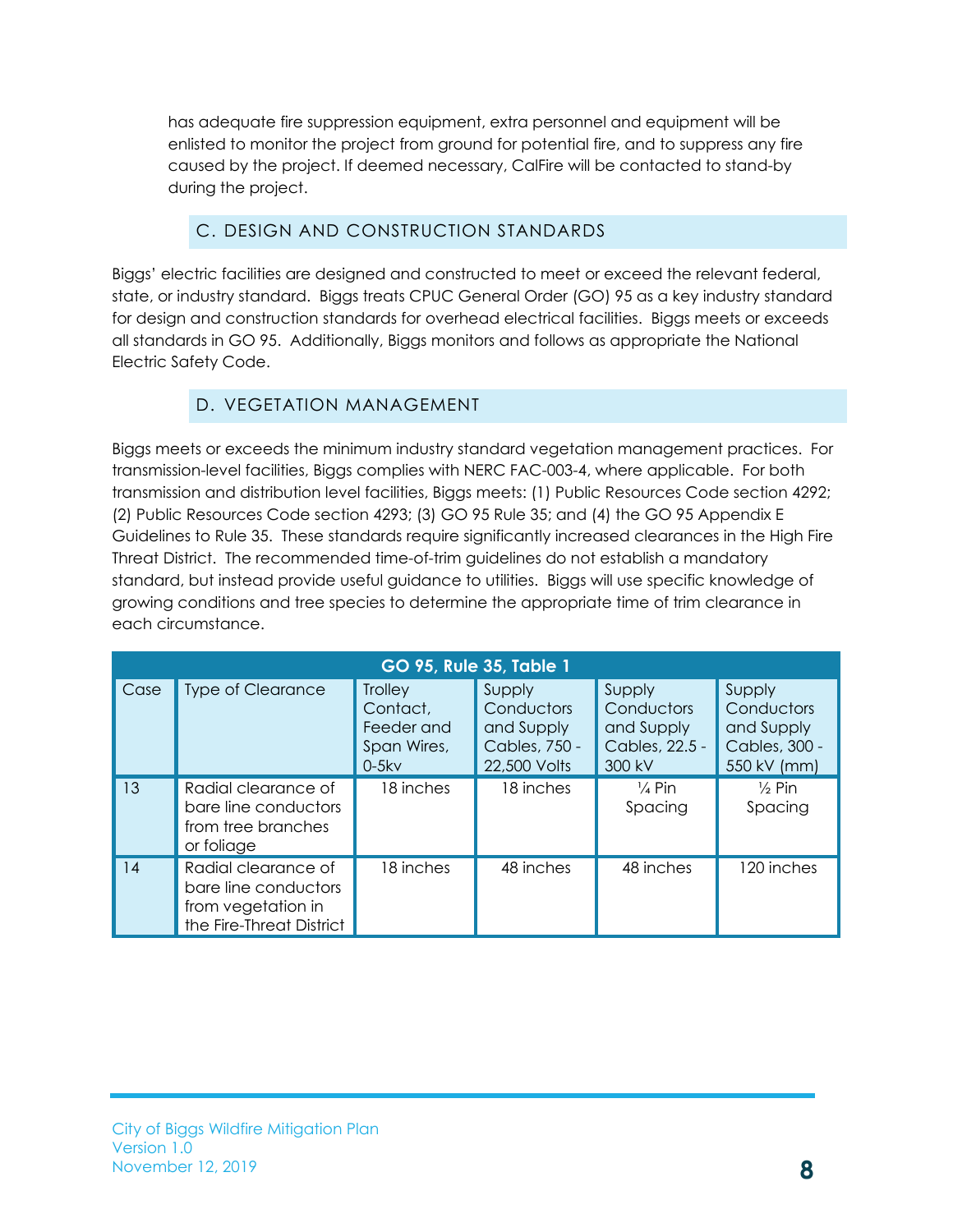has adequate fire suppression equipment, extra personnel and equipment will be enlisted to monitor the project from ground for potential fire, and to suppress any fire caused by the project. If deemed necessary, CalFire will be contacted to stand-by during the project.

# C. DESIGN AND CONSTRUCTION STANDARDS

<span id="page-10-0"></span>Biggs' electric facilities are designed and constructed to meet or exceed the relevant federal, state, or industry standard. Biggs treats CPUC General Order (GO) 95 as a key industry standard for design and construction standards for overhead electrical facilities. Biggs meets or exceeds all standards in GO 95. Additionally, Biggs monitors and follows as appropriate the National Electric Safety Code.

# D. VEGETATION MANAGEMENT

<span id="page-10-1"></span>Biggs meets or exceeds the minimum industry standard vegetation management practices. For transmission-level facilities, Biggs complies with NERC FAC-003-4, where applicable. For both transmission and distribution level facilities, Biggs meets: (1) Public Resources Code section 4292; (2) Public Resources Code section 4293; (3) GO 95 Rule 35; and (4) the GO 95 Appendix E Guidelines to Rule 35. These standards require significantly increased clearances in the High Fire Threat District. The recommended time-of-trim guidelines do not establish a mandatory standard, but instead provide useful guidance to utilities. Biggs will use specific knowledge of growing conditions and tree species to determine the appropriate time of trim clearance in each circumstance.

| <b>GO 95, Rule 35, Table 1</b> |                                                                                               |                                                                    |                                                                     |                                                                |                                                                    |  |  |  |
|--------------------------------|-----------------------------------------------------------------------------------------------|--------------------------------------------------------------------|---------------------------------------------------------------------|----------------------------------------------------------------|--------------------------------------------------------------------|--|--|--|
| Case                           | <b>Type of Clearance</b>                                                                      | <b>Trolley</b><br>Contact,<br>Feeder and<br>Span Wires,<br>$0-5kv$ | Supply<br>Conductors<br>and Supply<br>Cables, 750 -<br>22,500 Volts | Supply<br>Conductors<br>and Supply<br>Cables, 22.5 -<br>300 kV | Supply<br>Conductors<br>and Supply<br>Cables, 300 -<br>550 kV (mm) |  |  |  |
| 13                             | Radial clearance of<br>bare line conductors<br>from tree branches<br>or foliage               | 18 inches                                                          | 18 inches                                                           | $\frac{1}{4}$ Pin<br>Spacing                                   | $\frac{1}{2}$ Pin<br>Spacing                                       |  |  |  |
| 14                             | Radial clearance of<br>bare line conductors<br>from vegetation in<br>the Fire-Threat District | 18 inches                                                          | 48 inches                                                           | 48 inches                                                      | 120 inches                                                         |  |  |  |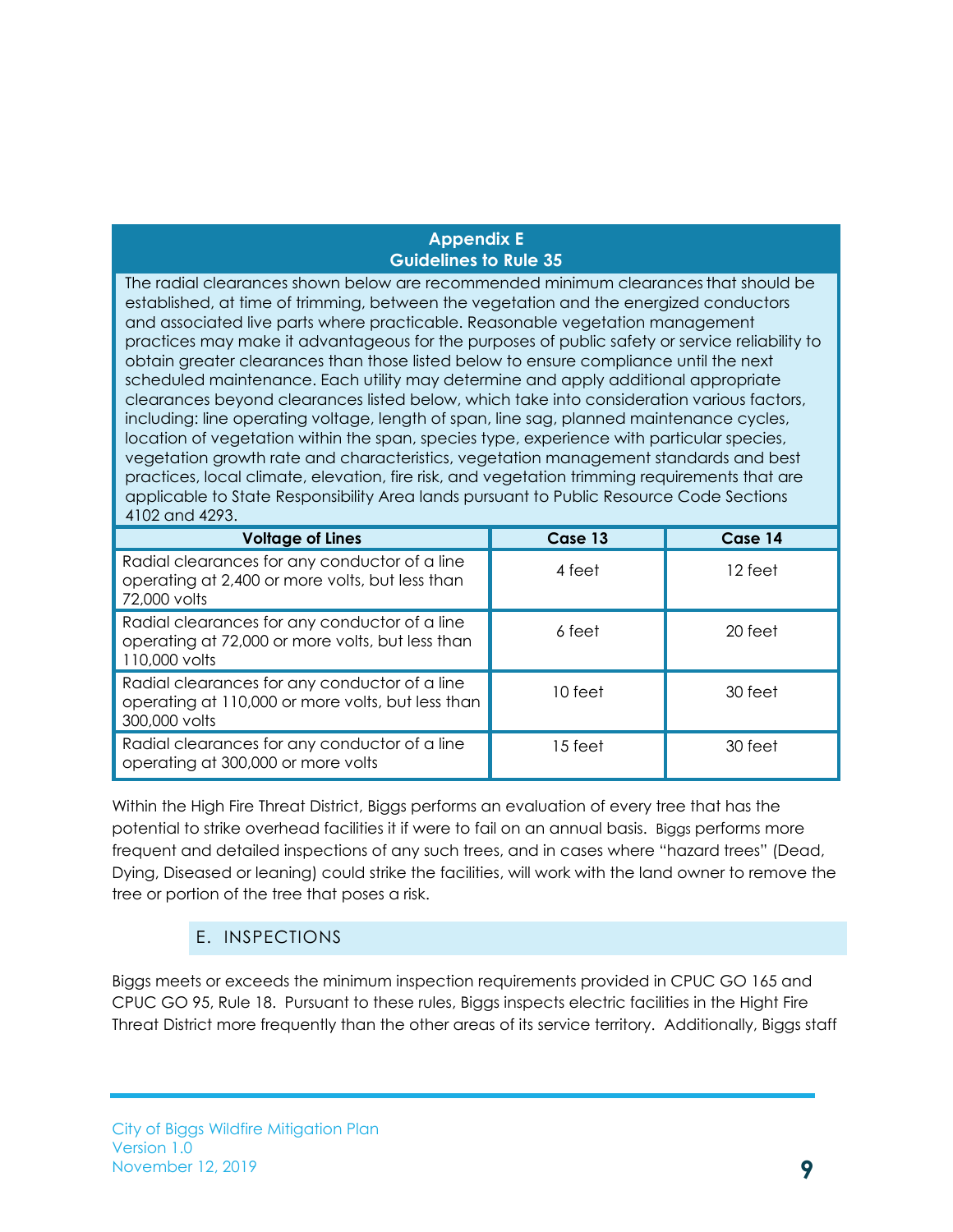#### **Appendix E Guidelines to Rule 35**

The radial clearances shown below are recommended minimum clearancesthat should be established, at time of trimming, between the vegetation and the energized conductors and associated live parts where practicable. Reasonable vegetation management practices may make it advantageous for the purposes of public safety or service reliability to obtain greater clearances than those listed below to ensure compliance until the next scheduled maintenance. Each utility may determine and apply additional appropriate clearances beyond clearances listed below, which take into consideration various factors, including: line operating voltage, length of span, line sag, planned maintenance cycles, location of vegetation within the span, species type, experience with particular species, vegetation growth rate and characteristics, vegetation management standards and best practices, local climate, elevation, fire risk, and vegetation trimming requirements that are applicable to State Responsibility Area lands pursuant to Public Resource Code Sections 4102 and 4293.

| <b>Voltage of Lines</b>                                                                                             | Case 13 | Case 14 |
|---------------------------------------------------------------------------------------------------------------------|---------|---------|
| Radial clearances for any conductor of a line<br>operating at 2,400 or more volts, but less than<br>72,000 volts    | 4 feet  | 12 feet |
| Radial clearances for any conductor of a line<br>operating at 72,000 or more volts, but less than<br>110,000 volts  | 6 feet  | 20 feet |
| Radial clearances for any conductor of a line<br>operating at 110,000 or more volts, but less than<br>300,000 volts | 10 feet | 30 feet |
| Radial clearances for any conductor of a line<br>operating at 300,000 or more volts                                 | 15 feet | 30 feet |

Within the High Fire Threat District, Biggs performs an evaluation of every tree that has the potential to strike overhead facilities it if were to fail on an annual basis. Biggs performs more frequent and detailed inspections of any such trees, and in cases where "hazard trees" (Dead, Dying, Diseased or leaning) could strike the facilities, will work with the land owner to remove the tree or portion of the tree that poses a risk.

## E. INSPECTIONS

<span id="page-11-0"></span>Biggs meets or exceeds the minimum inspection requirements provided in CPUC GO 165 and CPUC GO 95, Rule 18. Pursuant to these rules, Biggs inspects electric facilities in the Hight Fire Threat District more frequently than the other areas of its service territory. Additionally, Biggs staff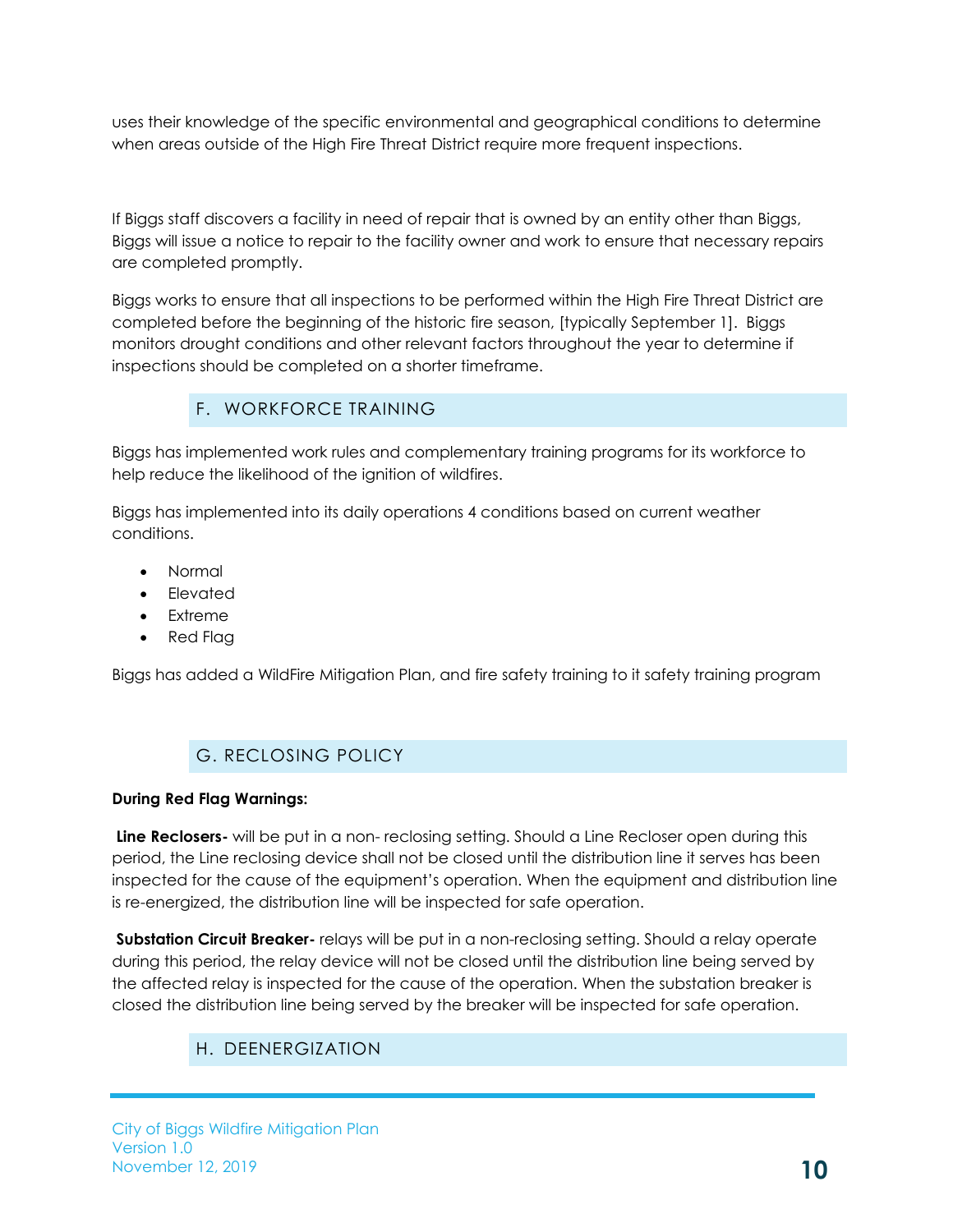uses their knowledge of the specific environmental and geographical conditions to determine when areas outside of the High Fire Threat District require more frequent inspections.

If Biggs staff discovers a facility in need of repair that is owned by an entity other than Biggs, Biggs will issue a notice to repair to the facility owner and work to ensure that necessary repairs are completed promptly.

Biggs works to ensure that all inspections to be performed within the High Fire Threat District are completed before the beginning of the historic fire season, [typically September 1]. Biggs monitors drought conditions and other relevant factors throughout the year to determine if inspections should be completed on a shorter timeframe.

# F. WORKFORCE TRAINING

<span id="page-12-0"></span>Biggs has implemented work rules and complementary training programs for its workforce to help reduce the likelihood of the ignition of wildfires.

Biggs has implemented into its daily operations 4 conditions based on current weather conditions.

- Normal
- Elevated
- Extreme
- Red Flag

Biggs has added a WildFire Mitigation Plan, and fire safety training to it safety training program

# G. RECLOSING POLICY

#### <span id="page-12-1"></span>**During Red Flag Warnings:**

**Line Reclosers-** will be put in a non- reclosing setting. Should a Line Recloser open during this period, the Line reclosing device shall not be closed until the distribution line it serves has been inspected for the cause of the equipment's operation. When the equipment and distribution line is re-energized, the distribution line will be inspected for safe operation.

<span id="page-12-2"></span>**Substation Circuit Breaker-** relays will be put in a non-reclosing setting. Should a relay operate during this period, the relay device will not be closed until the distribution line being served by the affected relay is inspected for the cause of the operation. When the substation breaker is closed the distribution line being served by the breaker will be inspected for safe operation.

# H. DEENERGIZATION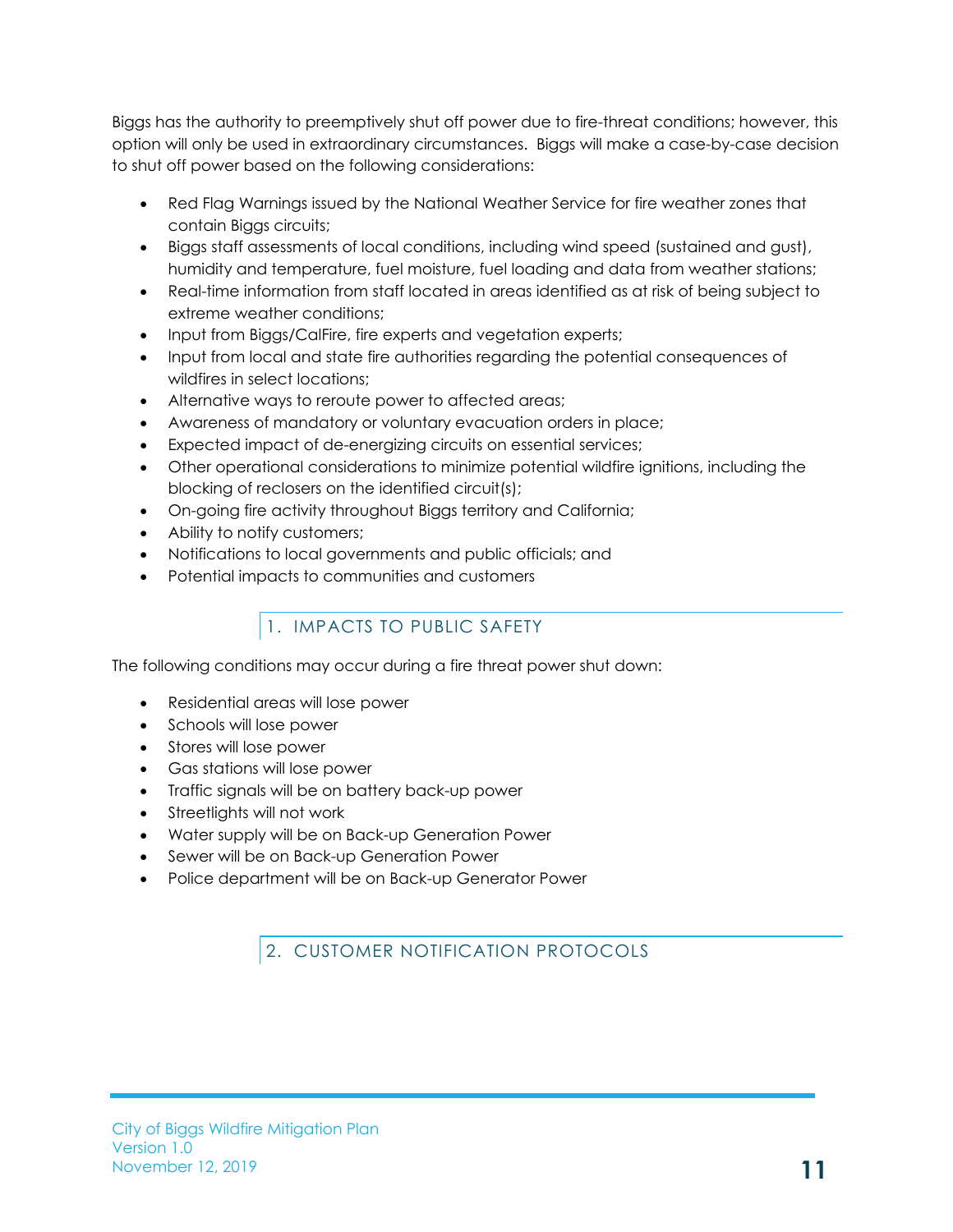Biggs has the authority to preemptively shut off power due to fire-threat conditions; however, this option will only be used in extraordinary circumstances. Biggs will make a case-by-case decision to shut off power based on the following considerations:

- Red Flag Warnings issued by the National Weather Service for fire weather zones that contain Biggs circuits;
- Biggs staff assessments of local conditions, including wind speed (sustained and gust), humidity and temperature, fuel moisture, fuel loading and data from weather stations;
- Real-time information from staff located in areas identified as at risk of being subject to extreme weather conditions;
- Input from Biggs/CalFire, fire experts and vegetation experts;
- Input from local and state fire authorities regarding the potential consequences of wildfires in select locations;
- Alternative ways to reroute power to affected areas;
- Awareness of mandatory or voluntary evacuation orders in place;
- Expected impact of de-energizing circuits on essential services;
- Other operational considerations to minimize potential wildfire ignitions, including the blocking of reclosers on the identified circuit(s);
- On-going fire activity throughout Biggs territory and California;
- Ability to notify customers;
- Notifications to local governments and public officials; and
- Potential impacts to communities and customers

# 1. IMPACTS TO PUBLIC SAFETY

<span id="page-13-0"></span>The following conditions may occur during a fire threat power shut down:

- Residential areas will lose power
- Schools will lose power
- Stores will lose power
- Gas stations will lose power
- Traffic signals will be on battery back-up power
- Streetlights will not work
- Water supply will be on Back-up Generation Power
- Sewer will be on Back-up Generation Power
- <span id="page-13-1"></span>• Police department will be on Back-up Generator Power

2. CUSTOMER NOTIFICATION PROTOCOLS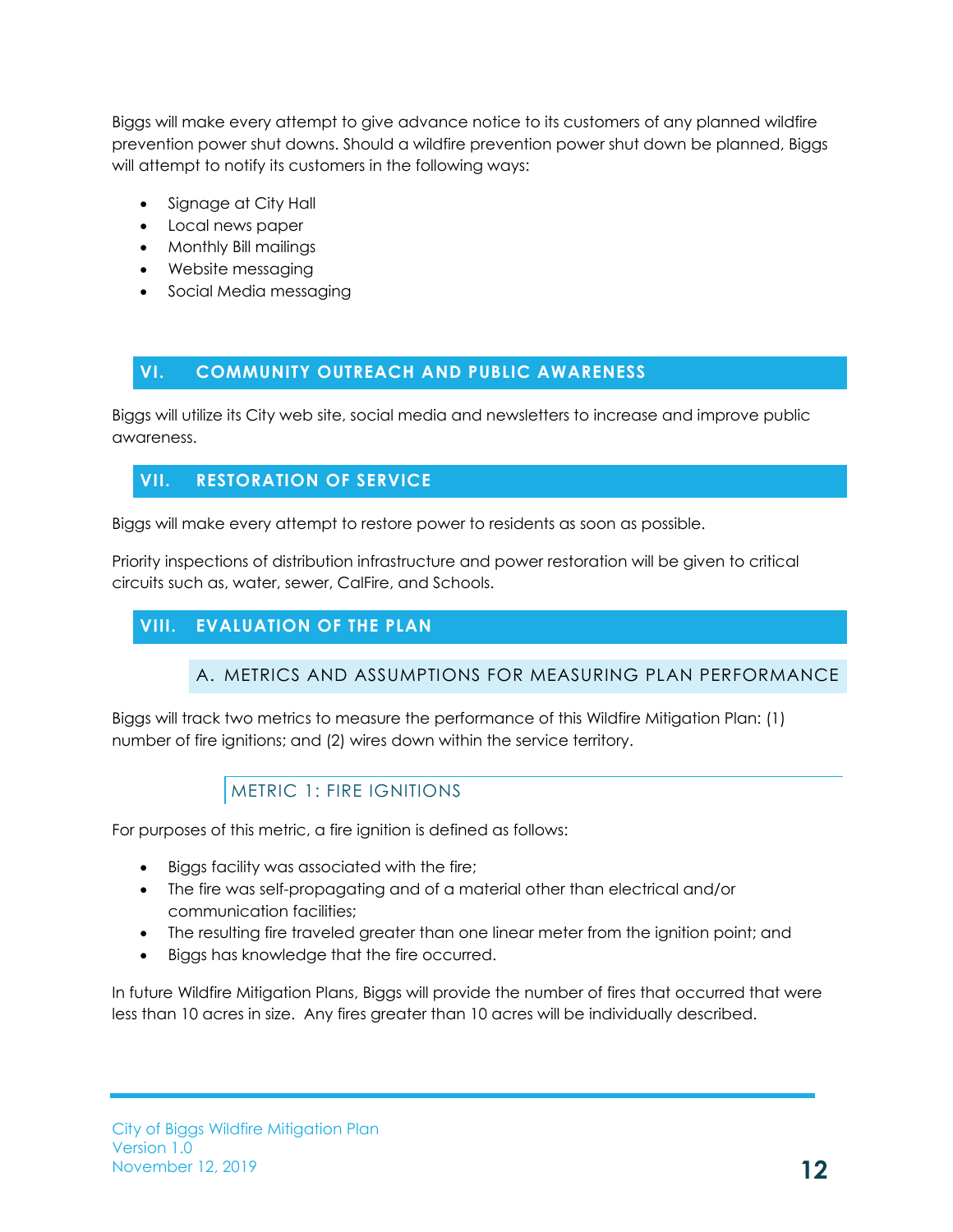Biggs will make every attempt to give advance notice to its customers of any planned wildfire prevention power shut downs. Should a wildfire prevention power shut down be planned, Biggs will attempt to notify its customers in the following ways:

- Signage at City Hall
- Local news paper
- Monthly Bill mailings
- Website messaging
- Social Media messaging

# <span id="page-14-0"></span>**VI. COMMUNITY OUTREACH AND PUBLIC AWARENESS**

Biggs will utilize its City web site, social media and newsletters to increase and improve public awareness.

# <span id="page-14-1"></span>**VII. RESTORATION OF SERVICE**

Biggs will make every attempt to restore power to residents as soon as possible.

Priority inspections of distribution infrastructure and power restoration will be given to critical circuits such as, water, sewer, CalFire, and Schools.

# <span id="page-14-3"></span><span id="page-14-2"></span>**VIII. EVALUATION OF THE PLAN**

## A. METRICS AND ASSUMPTIONS FOR MEASURING PLAN PERFORMANCE

Biggs will track two metrics to measure the performance of this Wildfire Mitigation Plan: (1) number of fire ignitions; and (2) wires down within the service territory.

# METRIC 1: FIRE IGNITIONS

<span id="page-14-4"></span>For purposes of this metric, a fire ignition is defined as follows:

- Biggs facility was associated with the fire;
- The fire was self-propagating and of a material other than electrical and/or communication facilities;
- The resulting fire traveled greater than one linear meter from the ignition point; and
- Biggs has knowledge that the fire occurred.

In future Wildfire Mitigation Plans, Biggs will provide the number of fires that occurred that were less than 10 acres in size. Any fires greater than 10 acres will be individually described.